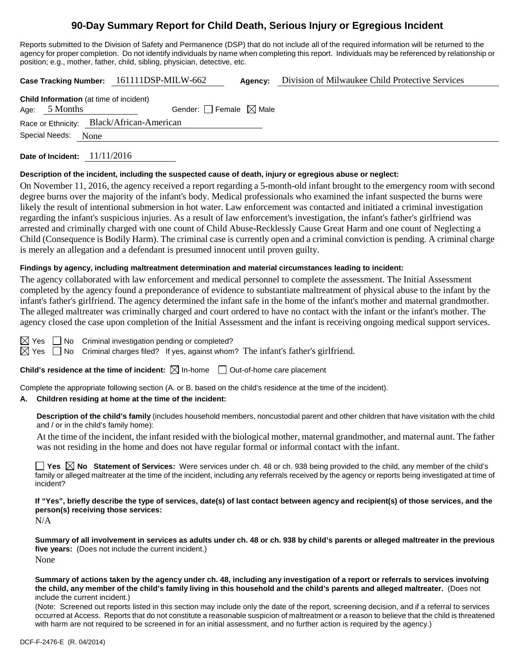# **90-Day Summary Report for Child Death, Serious Injury or Egregious Incident**

Reports submitted to the Division of Safety and Permanence (DSP) that do not include all of the required information will be returned to the agency for proper completion. Do not identify individuals by name when completing this report. Individuals may be referenced by relationship or position; e.g., mother, father, child, sibling, physician, detective, etc.

**Case Tracking Number:** 161111DSP-MILW-662 **Agency:** Division of Milwaukee Child Protective Services

| <b>Child Information</b> (at time of incident) |                 |                                           |  |  |  |
|------------------------------------------------|-----------------|-------------------------------------------|--|--|--|
|                                                | Age: $5$ Months | Gender: Female $\boxtimes$ Male           |  |  |  |
|                                                |                 | Race or Ethnicity: Black/African-American |  |  |  |
| Special Needs: None                            |                 |                                           |  |  |  |
|                                                |                 |                                           |  |  |  |

**Date of Incident:** 11/11/2016

#### **Description of the incident, including the suspected cause of death, injury or egregious abuse or neglect:**

On November 11, 2016, the agency received a report regarding a 5-month-old infant brought to the emergency room with second degree burns over the majority of the infant's body. Medical professionals who examined the infant suspected the burns were likely the result of intentional submersion in hot water. Law enforcement was contacted and initiated a criminal investigation regarding the infant's suspicious injuries. As a result of law enforcement's investigation, the infant's father's girlfriend was arrested and criminally charged with one count of Child Abuse-Recklessly Cause Great Harm and one count of Neglecting a Child (Consequence is Bodily Harm). The criminal case is currently open and a criminal conviction is pending. A criminal charge is merely an allegation and a defendant is presumed innocent until proven guilty.

#### **Findings by agency, including maltreatment determination and material circumstances leading to incident:**

The agency collaborated with law enforcement and medical personnel to complete the assessment. The Initial Assessment completed by the agency found a preponderance of evidence to substantiate maltreatment of physical abuse to the infant by the infant's father's girlfriend. The agency determined the infant safe in the home of the infant's mother and maternal grandmother. The alleged maltreater was criminally charged and court ordered to have no contact with the infant or the infant's mother. The agency closed the case upon completion of the Initial Assessment and the infant is receiving ongoing medical support services.

 $\boxtimes$  Yes  $\Box$  No Criminal investigation pending or completed?

 $\boxtimes$  Yes  $\Box$  No Criminal charges filed? If yes, against whom? The infant's father's girlfriend.

**Child's residence at the time of incident:**  $\boxtimes$  In-home  $\Box$  Out-of-home care placement

Complete the appropriate following section (A. or B. based on the child's residence at the time of the incident).

#### **A. Children residing at home at the time of the incident:**

**Description of the child's family** (includes household members, noncustodial parent and other children that have visitation with the child and / or in the child's family home):

At the time of the incident, the infant resided with the biological mother, maternal grandmother, and maternal aunt. The father was not residing in the home and does not have regular formal or informal contact with the infant.

■ Yes **No** Statement of Services: Were services under ch. 48 or ch. 938 being provided to the child, any member of the child's family or alleged maltreater at the time of the incident, including any referrals received by the agency or reports being investigated at time of incident?

**If "Yes", briefly describe the type of services, date(s) of last contact between agency and recipient(s) of those services, and the person(s) receiving those services:**

N/A

**Summary of all involvement in services as adults under ch. 48 or ch. 938 by child's parents or alleged maltreater in the previous five years:** (Does not include the current incident.) None

**Summary of actions taken by the agency under ch. 48, including any investigation of a report or referrals to services involving the child, any member of the child's family living in this household and the child's parents and alleged maltreater.** (Does not include the current incident.)

(Note: Screened out reports listed in this section may include only the date of the report, screening decision, and if a referral to services occurred at Access. Reports that do not constitute a reasonable suspicion of maltreatment or a reason to believe that the child is threatened with harm are not required to be screened in for an initial assessment, and no further action is required by the agency.)